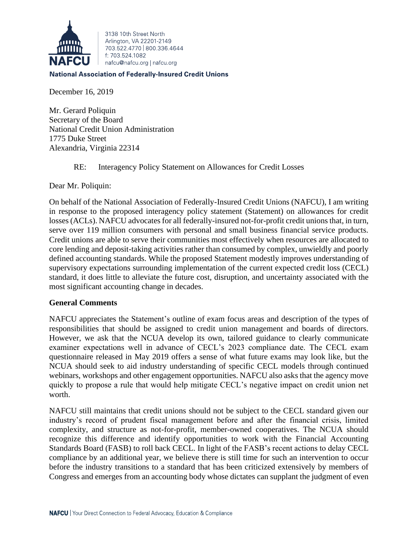

3138 10th Street North Arlington, VA 22201-2149 703 522 4770 800 336 4644 f: 703.524.1082 nafcu@nafcu.org | nafcu.org

## **National Association of Federally-Insured Credit Unions**

December 16, 2019

Mr. Gerard Poliquin Secretary of the Board National Credit Union Administration 1775 Duke Street Alexandria, Virginia 22314

RE: Interagency Policy Statement on Allowances for Credit Losses

Dear Mr. Poliquin:

On behalf of the National Association of Federally-Insured Credit Unions (NAFCU), I am writing in response to the proposed interagency policy statement (Statement) on allowances for credit losses (ACLs). NAFCU advocates for all federally-insured not-for-profit credit unions that, in turn, serve over 119 million consumers with personal and small business financial service products. Credit unions are able to serve their communities most effectively when resources are allocated to core lending and deposit-taking activities rather than consumed by complex, unwieldly and poorly defined accounting standards. While the proposed Statement modestly improves understanding of supervisory expectations surrounding implementation of the current expected credit loss (CECL) standard, it does little to alleviate the future cost, disruption, and uncertainty associated with the most significant accounting change in decades.

## **General Comments**

NAFCU appreciates the Statement's outline of exam focus areas and description of the types of responsibilities that should be assigned to credit union management and boards of directors. However, we ask that the NCUA develop its own, tailored guidance to clearly communicate examiner expectations well in advance of CECL's 2023 compliance date. The CECL exam questionnaire released in May 2019 offers a sense of what future exams may look like, but the NCUA should seek to aid industry understanding of specific CECL models through continued webinars, workshops and other engagement opportunities. NAFCU also asks that the agency move quickly to propose a rule that would help mitigate CECL's negative impact on credit union net worth.

NAFCU still maintains that credit unions should not be subject to the CECL standard given our industry's record of prudent fiscal management before and after the financial crisis, limited complexity, and structure as not-for-profit, member-owned cooperatives. The NCUA should recognize this difference and identify opportunities to work with the Financial Accounting Standards Board (FASB) to roll back CECL. In light of the FASB's recent actions to delay CECL compliance by an additional year, we believe there is still time for such an intervention to occur before the industry transitions to a standard that has been criticized extensively by members of Congress and emerges from an accounting body whose dictates can supplant the judgment of even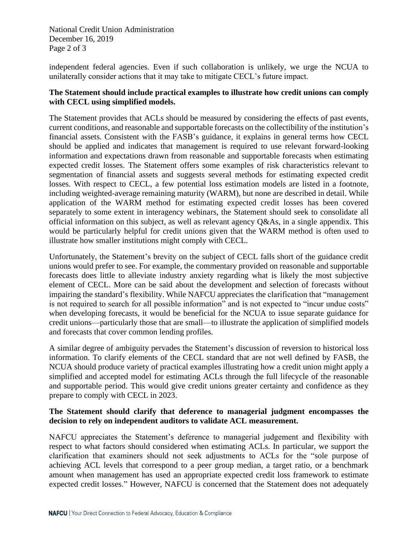National Credit Union Administration December 16, 2019 Page 2 of 3

independent federal agencies. Even if such collaboration is unlikely, we urge the NCUA to unilaterally consider actions that it may take to mitigate CECL's future impact.

## **The Statement should include practical examples to illustrate how credit unions can comply with CECL using simplified models.**

The Statement provides that ACLs should be measured by considering the effects of past events, current conditions, and reasonable and supportable forecasts on the collectibility of the institution's financial assets. Consistent with the FASB's guidance, it explains in general terms how CECL should be applied and indicates that management is required to use relevant forward-looking information and expectations drawn from reasonable and supportable forecasts when estimating expected credit losses. The Statement offers some examples of risk characteristics relevant to segmentation of financial assets and suggests several methods for estimating expected credit losses. With respect to CECL, a few potential loss estimation models are listed in a footnote, including weighted-average remaining maturity (WARM), but none are described in detail. While application of the WARM method for estimating expected credit losses has been covered separately to some extent in interagency webinars, the Statement should seek to consolidate all official information on this subject, as well as relevant agency Q&As, in a single appendix. This would be particularly helpful for credit unions given that the WARM method is often used to illustrate how smaller institutions might comply with CECL.

Unfortunately, the Statement's brevity on the subject of CECL falls short of the guidance credit unions would prefer to see. For example, the commentary provided on reasonable and supportable forecasts does little to alleviate industry anxiety regarding what is likely the most subjective element of CECL. More can be said about the development and selection of forecasts without impairing the standard's flexibility. While NAFCU appreciates the clarification that "management is not required to search for all possible information" and is not expected to "incur undue costs" when developing forecasts, it would be beneficial for the NCUA to issue separate guidance for credit unions—particularly those that are small—to illustrate the application of simplified models and forecasts that cover common lending profiles.

A similar degree of ambiguity pervades the Statement's discussion of reversion to historical loss information. To clarify elements of the CECL standard that are not well defined by FASB, the NCUA should produce variety of practical examples illustrating how a credit union might apply a simplified and accepted model for estimating ACLs through the full lifecycle of the reasonable and supportable period. This would give credit unions greater certainty and confidence as they prepare to comply with CECL in 2023.

## **The Statement should clarify that deference to managerial judgment encompasses the decision to rely on independent auditors to validate ACL measurement.**

NAFCU appreciates the Statement's deference to managerial judgement and flexibility with respect to what factors should considered when estimating ACLs. In particular, we support the clarification that examiners should not seek adjustments to ACLs for the "sole purpose of achieving ACL levels that correspond to a peer group median, a target ratio, or a benchmark amount when management has used an appropriate expected credit loss framework to estimate expected credit losses." However, NAFCU is concerned that the Statement does not adequately